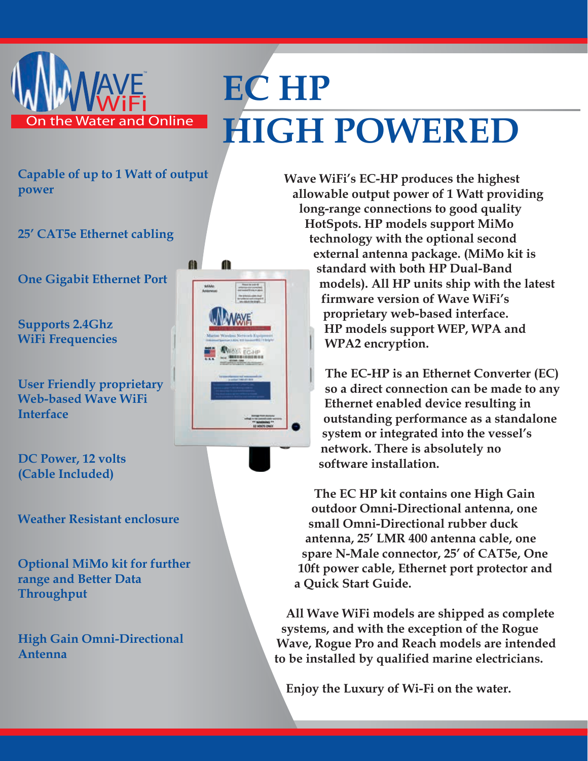

## **EC HP HIGH POWERED**

**Capable of up to 1 Watt of output power**

**25' CAT5e Ethernet cabling**

**One Gigabit Ethernet Port**

**Supports 2.4Ghz WiFi Frequencies**

**User Friendly proprietary Web-based Wave WiFi Interface**

**DC Power, 12 volts (Cable Included)**

**Weather Resistant enclosure**

**Optional MiMo kit for further range and Better Data Throughput**

**High Gain Omni-Directional Antenna**



m

Æ

**Wave WiFi's EC-HP produces the highest allowable output power of 1 Watt providing long-range connections to good quality HotSpots. HP models support MiMo technology with the optional second external antenna package. (MiMo kit is standard with both HP Dual-Band models). All HP units ship with the latest firmware version of Wave WiFi's proprietary web-based interface. HP models support WEP, WPA and WPA2 encryption.**

> **The EC-HP is an Ethernet Converter (EC) so a direct connection can be made to any Ethernet enabled device resulting in outstanding performance as a standalone system or integrated into the vessel's network. There is absolutely no software installation.**

**The EC HP kit contains one High Gain outdoor Omni-Directional antenna, one small Omni-Directional rubber duck antenna, 25' LMR 400 antenna cable, one spare N-Male connector, 25' of CAT5e, One 10ft power cable, Ethernet port protector and a Quick Start Guide.**

**All Wave WiFi models are shipped as complete systems, and with the exception of the Rogue Wave, Rogue Pro and Reach models are intended to be installed by qualified marine electricians.**

**Enjoy the Luxury of Wi-Fi on the water.**